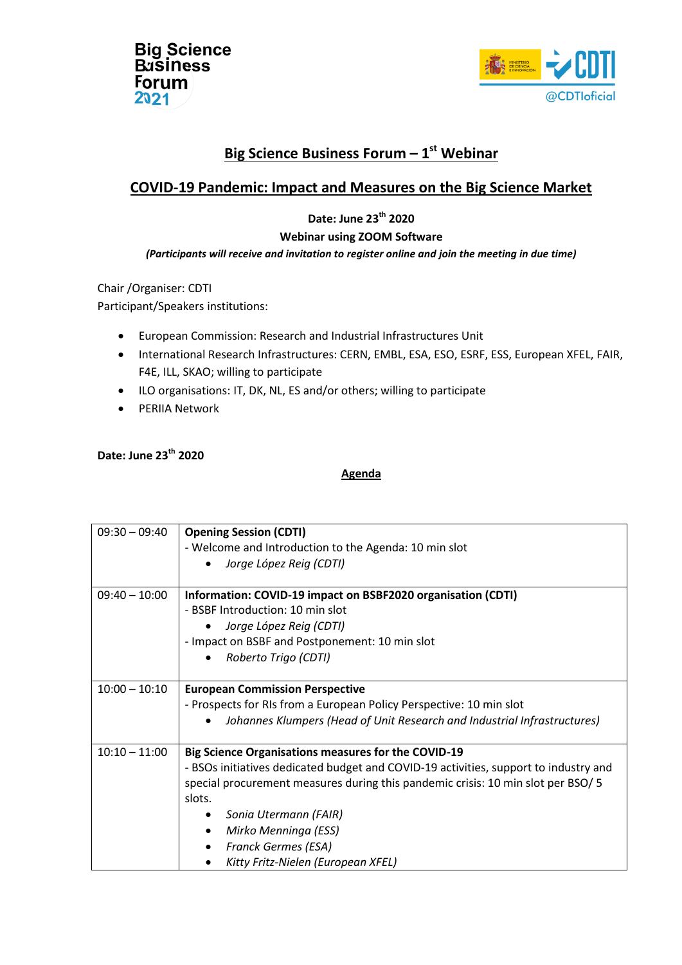



# **Big Science Business Forum – 1 st Webinar**

## **COVID-19 Pandemic: Impact and Measures on the Big Science Market**

## **Date: June 23th 2020**

#### **Webinar using ZOOM Software**

#### *(Participants will receive and invitation to register online and join the meeting in due time)*

Chair /Organiser: CDTI

Participant/Speakers institutions:

- European Commission: Research and Industrial Infrastructures Unit
- International Research Infrastructures: CERN, EMBL, ESA, ESO, ESRF, ESS, European XFEL, FAIR, F4E, ILL, SKAO; willing to participate
- ILO organisations: IT, DK, NL, ES and/or others; willing to participate
- **•** PERIIA Network

### **Date: June 23th 2020**

#### **Agenda**

| $09:30 - 09:40$ | <b>Opening Session (CDTI)</b>                                                        |
|-----------------|--------------------------------------------------------------------------------------|
|                 | - Welcome and Introduction to the Agenda: 10 min slot                                |
|                 | Jorge López Reig (CDTI)<br>$\bullet$                                                 |
|                 |                                                                                      |
| $09:40 - 10:00$ | Information: COVID-19 impact on BSBF2020 organisation (CDTI)                         |
|                 | - BSBF Introduction: 10 min slot                                                     |
|                 | Jorge López Reig (CDTI)                                                              |
|                 | - Impact on BSBF and Postponement: 10 min slot                                       |
|                 | Roberto Trigo (CDTI)                                                                 |
|                 |                                                                                      |
| $10:00 - 10:10$ | <b>European Commission Perspective</b>                                               |
|                 | - Prospects for RIs from a European Policy Perspective: 10 min slot                  |
|                 | Johannes Klumpers (Head of Unit Research and Industrial Infrastructures)             |
|                 |                                                                                      |
| $10:10 - 11:00$ | <b>Big Science Organisations measures for the COVID-19</b>                           |
|                 | - BSOs initiatives dedicated budget and COVID-19 activities, support to industry and |
|                 | special procurement measures during this pandemic crisis: 10 min slot per BSO/ 5     |
|                 | slots.                                                                               |
|                 | Sonia Utermann (FAIR)<br>٠                                                           |
|                 | Mirko Menninga (ESS)                                                                 |
|                 | <b>Franck Germes (ESA)</b>                                                           |
|                 | Kitty Fritz-Nielen (European XFEL)                                                   |
|                 |                                                                                      |